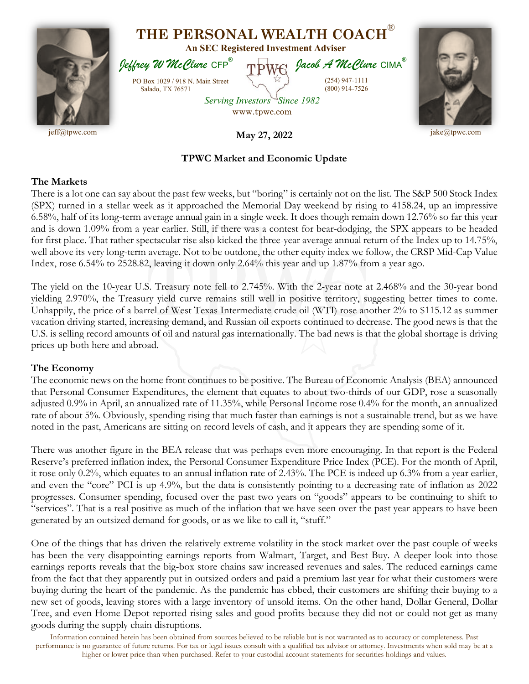

## **TPWC Market and Economic Update**

## **The Markets**

There is a lot one can say about the past few weeks, but "boring" is certainly not on the list. The S&P 500 Stock Index (SPX) turned in a stellar week as it approached the Memorial Day weekend by rising to 4158.24, up an impressive 6.58%, half of its long-term average annual gain in a single week. It does though remain down 12.76% so far this year and is down 1.09% from a year earlier. Still, if there was a contest for bear-dodging, the SPX appears to be headed for first place. That rather spectacular rise also kicked the three-year average annual return of the Index up to 14.75%, well above its very long-term average. Not to be outdone, the other equity index we follow, the CRSP Mid-Cap Value Index, rose 6.54% to 2528.82, leaving it down only 2.64% this year and up 1.87% from a year ago.

The yield on the 10-year U.S. Treasury note fell to 2.745%. With the 2-year note at 2.468% and the 30-year bond yielding 2.970%, the Treasury yield curve remains still well in positive territory, suggesting better times to come. Unhappily, the price of a barrel of West Texas Intermediate crude oil (WTI) rose another 2% to \$115.12 as summer vacation driving started, increasing demand, and Russian oil exports continued to decrease. The good news is that the U.S. is selling record amounts of oil and natural gas internationally. The bad news is that the global shortage is driving prices up both here and abroad.

## **The Economy**

The economic news on the home front continues to be positive. The Bureau of Economic Analysis (BEA) announced that Personal Consumer Expenditures, the element that equates to about two-thirds of our GDP, rose a seasonally adjusted 0.9% in April, an annualized rate of 11.35%, while Personal Income rose 0.4% for the month, an annualized rate of about 5%. Obviously, spending rising that much faster than earnings is not a sustainable trend, but as we have noted in the past, Americans are sitting on record levels of cash, and it appears they are spending some of it.

There was another figure in the BEA release that was perhaps even more encouraging. In that report is the Federal Reserve's preferred inflation index, the Personal Consumer Expenditure Price Index (PCE). For the month of April, it rose only 0.2%, which equates to an annual inflation rate of 2.43%. The PCE is indeed up 6.3% from a year earlier, and even the "core" PCI is up 4.9%, but the data is consistently pointing to a decreasing rate of inflation as 2022 progresses. Consumer spending, focused over the past two years on "goods" appears to be continuing to shift to "services". That is a real positive as much of the inflation that we have seen over the past year appears to have been generated by an outsized demand for goods, or as we like to call it, "stuff."

One of the things that has driven the relatively extreme volatility in the stock market over the past couple of weeks has been the very disappointing earnings reports from Walmart, Target, and Best Buy. A deeper look into those earnings reports reveals that the big-box store chains saw increased revenues and sales. The reduced earnings came from the fact that they apparently put in outsized orders and paid a premium last year for what their customers were buying during the heart of the pandemic. As the pandemic has ebbed, their customers are shifting their buying to a new set of goods, leaving stores with a large inventory of unsold items. On the other hand, Dollar General, Dollar Tree, and even Home Depot reported rising sales and good profits because they did not or could not get as many goods during the supply chain disruptions.

Information contained herein has been obtained from sources believed to be reliable but is not warranted as to accuracy or completeness. Past performance is no guarantee of future returns. For tax or legal issues consult with a qualified tax advisor or attorney. Investments when sold may be at a higher or lower price than when purchased. Refer to your custodial account statements for securities holdings and values.